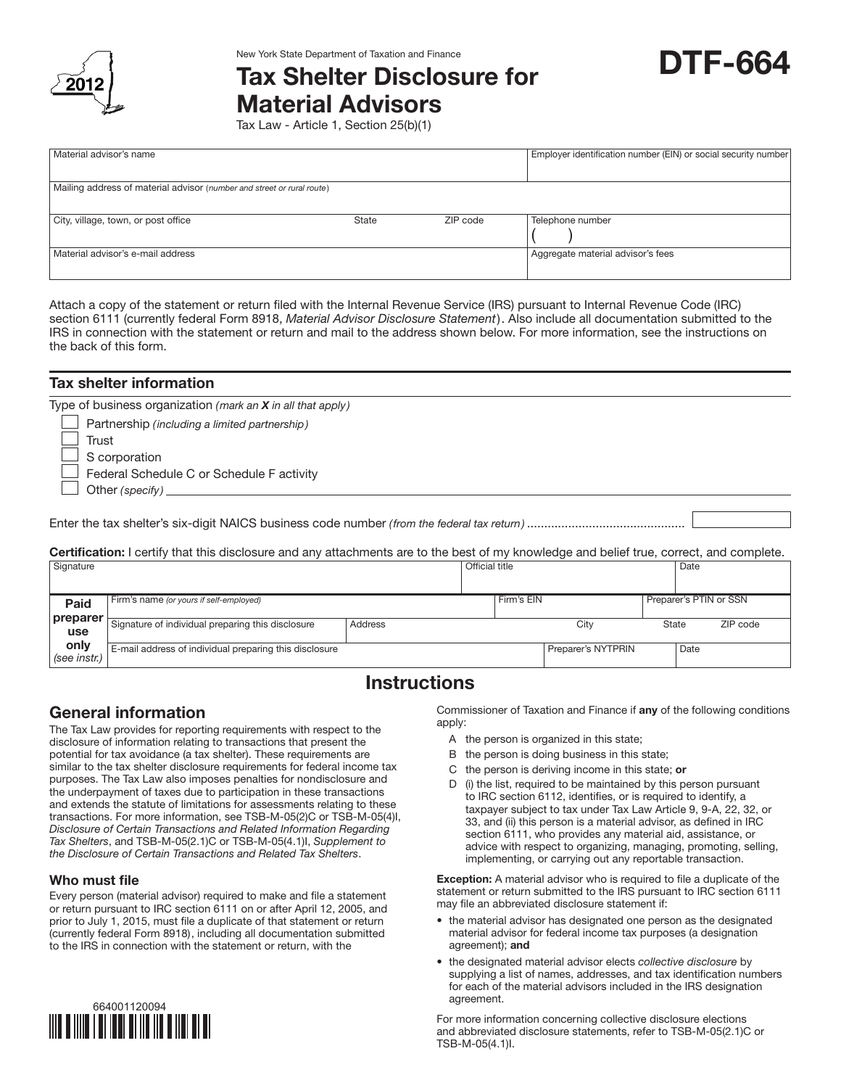

# New York State Department of Taxation and Finance<br>Tax Shelter Disclosure for **DTF-664** Material Advisors

Tax Law - Article 1, Section 25(b)(1)

| Material advisor's name                                                |              |          | Employer identification number (EIN) or social security number |  |  |
|------------------------------------------------------------------------|--------------|----------|----------------------------------------------------------------|--|--|
| Mailing address of material advisor (number and street or rural route) |              |          |                                                                |  |  |
| City, village, town, or post office                                    | <b>State</b> | ZIP code | Telephone number                                               |  |  |
| Material advisor's e-mail address                                      |              |          | Aggregate material advisor's fees                              |  |  |

Attach a copy of the statement or return filed with the Internal Revenue Service (IRS) pursuant to Internal Revenue Code (IRC) section 6111 (currently federal Form 8918, *Material Advisor Disclosure Statement*). Also include all documentation submitted to the IRS in connection with the statement or return and mail to the address shown below. For more information, see the instructions on the back of this form.

| <b>Tax shelter information</b>                                                                                                                   |
|--------------------------------------------------------------------------------------------------------------------------------------------------|
| Type of business organization (mark an $X$ in all that apply)                                                                                    |
| Partnership (including a limited partnership)                                                                                                    |
| Trust                                                                                                                                            |
| S corporation                                                                                                                                    |
| $\Box$ Federal Schedule C or Schedule F activity                                                                                                 |
| Other (specify) $\sqrt{2\pi}$                                                                                                                    |
|                                                                                                                                                  |
|                                                                                                                                                  |
| <b>Certification:</b> I certify that this disclosure and any attachments are to the best of my knowledge and belief true, correct, and complete. |

| Signature                   |                                                                                                             |                | Official title |            |                            |       | Date                   |          |
|-----------------------------|-------------------------------------------------------------------------------------------------------------|----------------|----------------|------------|----------------------------|-------|------------------------|----------|
| Paid<br>preparer            | Firm's name (or yours if self-employed)                                                                     |                |                | Firm's EIN |                            |       | Preparer's PTIN or SSN |          |
| use<br>only<br>(see instr.) | Signature of individual preparing this disclosure<br>E-mail address of individual preparing this disclosure | <b>Address</b> |                |            | City<br>Preparer's NYTPRIN | State | Date                   | ZIP code |

## **Instructions**

## General information

The Tax Law provides for reporting requirements with respect to the disclosure of information relating to transactions that present the potential for tax avoidance (a tax shelter). These requirements are similar to the tax shelter disclosure requirements for federal income tax purposes. The Tax Law also imposes penalties for nondisclosure and the underpayment of taxes due to participation in these transactions and extends the statute of limitations for assessments relating to these transactions. For more information, see TSB-M-05(2)C or TSB-M-05(4)I, *Disclosure of Certain Transactions and Related Information Regarding Tax Shelters*, and TSB-M-05(2.1)C or TSB-M-05(4.1)I, *Supplement to the Disclosure of Certain Transactions and Related Tax Shelters*.

### Who must file

Every person (material advisor) required to make and file a statement or return pursuant to IRC section 6111 on or after April 12, 2005, and prior to July 1, 2015, must file a duplicate of that statement or return (currently federal Form 8918), including all documentation submitted to the IRS in connection with the statement or return, with the



Commissioner of Taxation and Finance if any of the following conditions apply:

- A the person is organized in this state;
- B the person is doing business in this state;
- C the person is deriving income in this state; or
- D (i) the list, required to be maintained by this person pursuant to IRC section 6112, identifies, or is required to identify, a taxpayer subject to tax under Tax Law Article 9, 9-A, 22, 32, or 33, and (ii) this person is a material advisor, as defined in IRC section 6111, who provides any material aid, assistance, or advice with respect to organizing, managing, promoting, selling, implementing, or carrying out any reportable transaction.

Exception: A material advisor who is required to file a duplicate of the statement or return submitted to the IRS pursuant to IRC section 6111 may file an abbreviated disclosure statement if:

- the material advisor has designated one person as the designated material advisor for federal income tax purposes (a designation agreement); and
- the designated material advisor elects *collective disclosure* by supplying a list of names, addresses, and tax identification numbers for each of the material advisors included in the IRS designation agreement.

For more information concerning collective disclosure elections and abbreviated disclosure statements, refer to TSB-M-05(2.1)C or TSB-M-05(4.1)I.